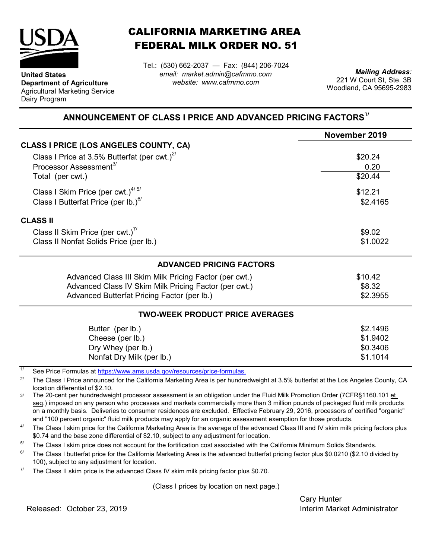

**United States**

Dairy Program

**Department of Agriculture** Agricultural Marketing Service CALIFORNIA MARKETING AREA FEDERAL MILK ORDER NO. 51

Tel.: (530) 662-2037 — Fax: (844) 206-7024 *email: market.admin@cafmmo.com website: www.cafmmo.com*

*Mailing Address:* 221 W Court St, Ste. 3B Woodland, CA 95695-2983

## **ANNOUNCEMENT OF CLASS I PRICE AND ADVANCED PRICING FACTORS1/**

|                                                                                      | November 2019 |  |  |
|--------------------------------------------------------------------------------------|---------------|--|--|
| CLASS I PRICE (LOS ANGELES COUNTY, CA)                                               |               |  |  |
| Class I Price at 3.5% Butterfat (per cwt.) $^{2/}$                                   | \$20.24       |  |  |
| Processor Assessment <sup>3/</sup>                                                   | 0.20          |  |  |
| Total (per cwt.)                                                                     | \$20.44       |  |  |
| Class I Skim Price (per cwt.) $4/5/$                                                 | \$12.21       |  |  |
| Class I Butterfat Price (per lb.) $6/$                                               | \$2.4165      |  |  |
| <b>CLASS II</b>                                                                      |               |  |  |
| Class II Skim Price (per cwt.) <sup>7/</sup>                                         | \$9.02        |  |  |
| Class II Nonfat Solids Price (per lb.)                                               | \$1.0022      |  |  |
| <b>ADVANCED PRICING FACTORS</b>                                                      |               |  |  |
| Advanced Class III Skim Milk Pricing Factor (per cwt.)                               | \$10.42       |  |  |
| Advanced Class IV Skim Milk Pricing Factor (per cwt.)                                | \$8.32        |  |  |
| Advanced Butterfat Pricing Factor (per lb.)                                          | \$2.3955      |  |  |
| <b>TWO-WEEK PRODUCT PRICE AVERAGES</b>                                               |               |  |  |
| Butter (per lb.)                                                                     | \$2.1496      |  |  |
| Cheese (per lb.)                                                                     | \$1.9402      |  |  |
| Dry Whey (per lb.)                                                                   | \$0.3406      |  |  |
| Nonfat Dry Milk (per lb.)                                                            | \$1.1014      |  |  |
| 1/<br><u>Cee Dries Fermules of https://www.ams.usdo.gov/resources/priso.fermules</u> |               |  |  |

See Price Formulas at https://www.ams.usda.gov/resources/price-formulas.

2/ The Class I Price announced for the California Marketing Area is per hundredweight at 3.5% butterfat at the Los Angeles County, CA location differential of \$2.10.

3/ The 20-cent per hundredweight processor assessment is an obligation under the Fluid Milk Promotion Order (7CFR§1160.101 et seq.) imposed on any person who processes and markets commercially more than 3 million pounds of packaged fluid milk products on a monthly basis. Deliveries to consumer residences are excluded. Effective February 29, 2016, processors of certified "organic" and "100 percent organic" fluid milk products may apply for an organic assessment exemption for those products.

4/ The Class I skim price for the California Marketing Area is the average of the advanced Class III and IV skim milk pricing factors plus \$0.74 and the base zone differential of \$2.10, subject to any adjustment for location.

5/ The Class I skim price does not account for the fortification cost associated with the California Minimum Solids Standards.

6/ The Class I butterfat price for the California Marketing Area is the advanced butterfat pricing factor plus \$0.0210 (\$2.10 divided by 100), subject to any adjustment for location.

7/ The Class II skim price is the advanced Class IV skim milk pricing factor plus \$0.70.

(Class I prices by location on next page.)

Cary Hunter

Released: Interim Market Administrator October 23, 2019